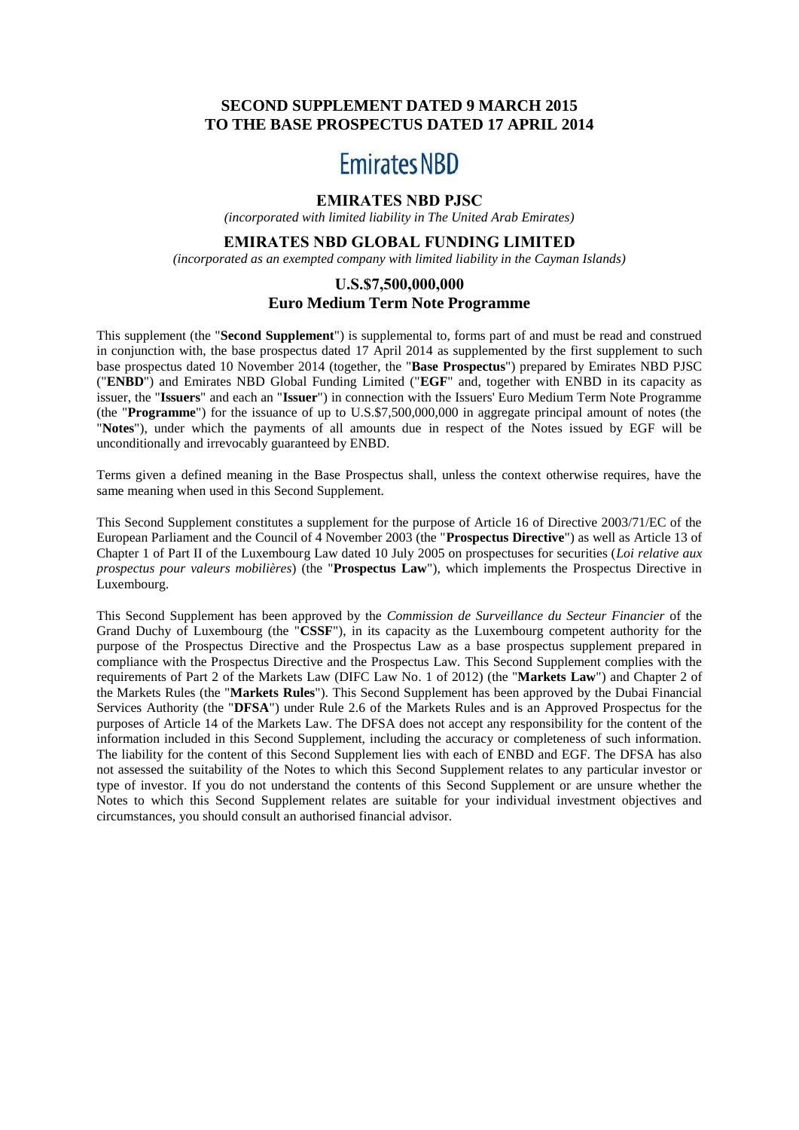# **SECOND SUPPLEMENT DATED 9 MARCH 2015 TO THE BASE PROSPECTUS DATED 17 APRIL 2014**

# **Emirates NBD**

# **EMIRATES NBD PJSC**

*(incorporated with limited liability in The United Arab Emirates)*

#### **EMIRATES NBD GLOBAL FUNDING LIMITED**

*(incorporated as an exempted company with limited liability in the Cayman Islands)*

## **U.S.\$7,500,000,000 Euro Medium Term Note Programme**

This supplement (the "**Second Supplement**") is supplemental to, forms part of and must be read and construed in conjunction with, the base prospectus dated 17 April 2014 as supplemented by the first supplement to such base prospectus dated 10 November 2014 (together, the "**Base Prospectus**") prepared by Emirates NBD PJSC ("**ENBD**") and Emirates NBD Global Funding Limited ("**EGF**" and, together with ENBD in its capacity as issuer, the "**Issuers**" and each an "**Issuer**") in connection with the Issuers' Euro Medium Term Note Programme (the "**Programme**") for the issuance of up to U.S.\$7,500,000,000 in aggregate principal amount of notes (the "**Notes**"), under which the payments of all amounts due in respect of the Notes issued by EGF will be unconditionally and irrevocably guaranteed by ENBD.

Terms given a defined meaning in the Base Prospectus shall, unless the context otherwise requires, have the same meaning when used in this Second Supplement.

This Second Supplement constitutes a supplement for the purpose of Article 16 of Directive 2003/71/EC of the European Parliament and the Council of 4 November 2003 (the "**Prospectus Directive**") as well as Article 13 of Chapter 1 of Part II of the Luxembourg Law dated 10 July 2005 on prospectuses for securities (*Loi relative aux prospectus pour valeurs mobilières*) (the "**Prospectus Law**"), which implements the Prospectus Directive in Luxembourg.

This Second Supplement has been approved by the *Commission de Surveillance du Secteur Financier* of the Grand Duchy of Luxembourg (the "**CSSF**"), in its capacity as the Luxembourg competent authority for the purpose of the Prospectus Directive and the Prospectus Law as a base prospectus supplement prepared in compliance with the Prospectus Directive and the Prospectus Law. This Second Supplement complies with the requirements of Part 2 of the Markets Law (DIFC Law No. 1 of 2012) (the "**Markets Law**") and Chapter 2 of the Markets Rules (the "**Markets Rules**"). This Second Supplement has been approved by the Dubai Financial Services Authority (the "**DFSA**") under Rule 2.6 of the Markets Rules and is an Approved Prospectus for the purposes of Article 14 of the Markets Law. The DFSA does not accept any responsibility for the content of the information included in this Second Supplement, including the accuracy or completeness of such information. The liability for the content of this Second Supplement lies with each of ENBD and EGF. The DFSA has also not assessed the suitability of the Notes to which this Second Supplement relates to any particular investor or type of investor. If you do not understand the contents of this Second Supplement or are unsure whether the Notes to which this Second Supplement relates are suitable for your individual investment objectives and circumstances, you should consult an authorised financial advisor.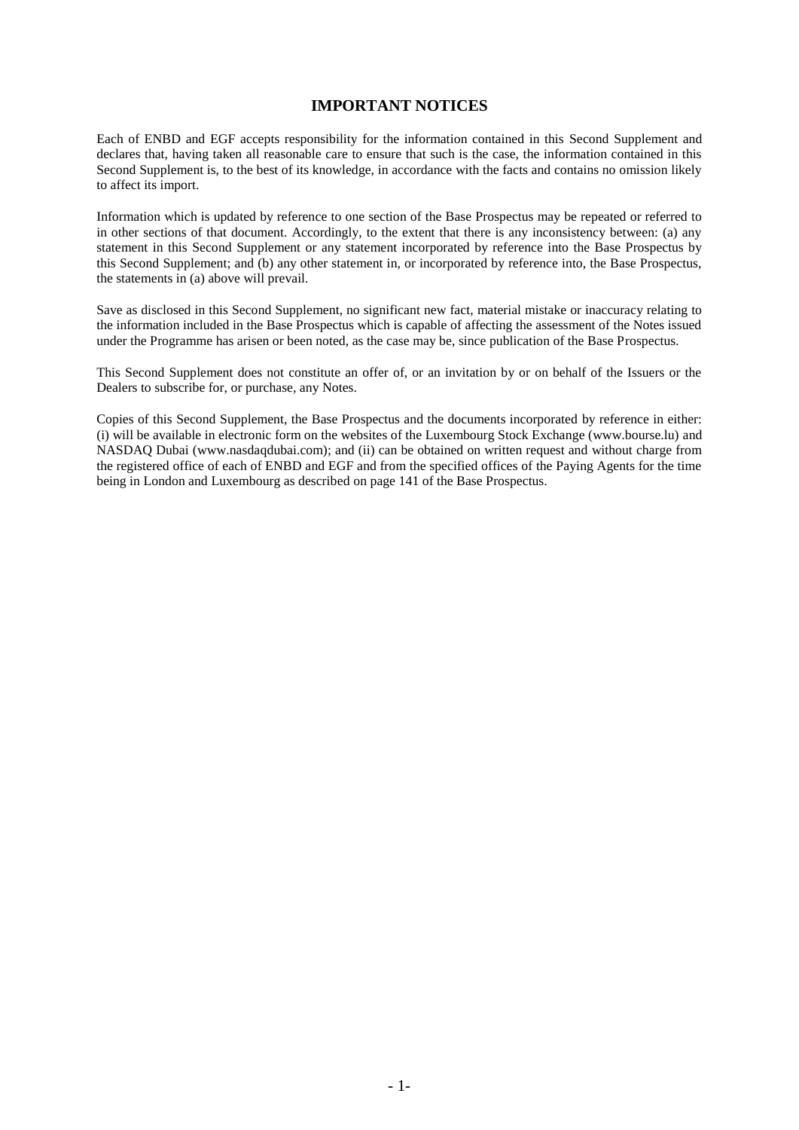## **IMPORTANT NOTICES**

Each of ENBD and EGF accepts responsibility for the information contained in this Second Supplement and declares that, having taken all reasonable care to ensure that such is the case, the information contained in this Second Supplement is, to the best of its knowledge, in accordance with the facts and contains no omission likely to affect its import.

Information which is updated by reference to one section of the Base Prospectus may be repeated or referred to in other sections of that document. Accordingly, to the extent that there is any inconsistency between: (a) any statement in this Second Supplement or any statement incorporated by reference into the Base Prospectus by this Second Supplement; and (b) any other statement in, or incorporated by reference into, the Base Prospectus, the statements in (a) above will prevail.

Save as disclosed in this Second Supplement, no significant new fact, material mistake or inaccuracy relating to the information included in the Base Prospectus which is capable of affecting the assessment of the Notes issued under the Programme has arisen or been noted, as the case may be, since publication of the Base Prospectus.

This Second Supplement does not constitute an offer of, or an invitation by or on behalf of the Issuers or the Dealers to subscribe for, or purchase, any Notes.

Copies of this Second Supplement, the Base Prospectus and the documents incorporated by reference in either: (i) will be available in electronic form on the websites of the Luxembourg Stock Exchange (www.bourse.lu) and NASDAQ Dubai (www.nasdaqdubai.com); and (ii) can be obtained on written request and without charge from the registered office of each of ENBD and EGF and from the specified offices of the Paying Agents for the time being in London and Luxembourg as described on page 141 of the Base Prospectus.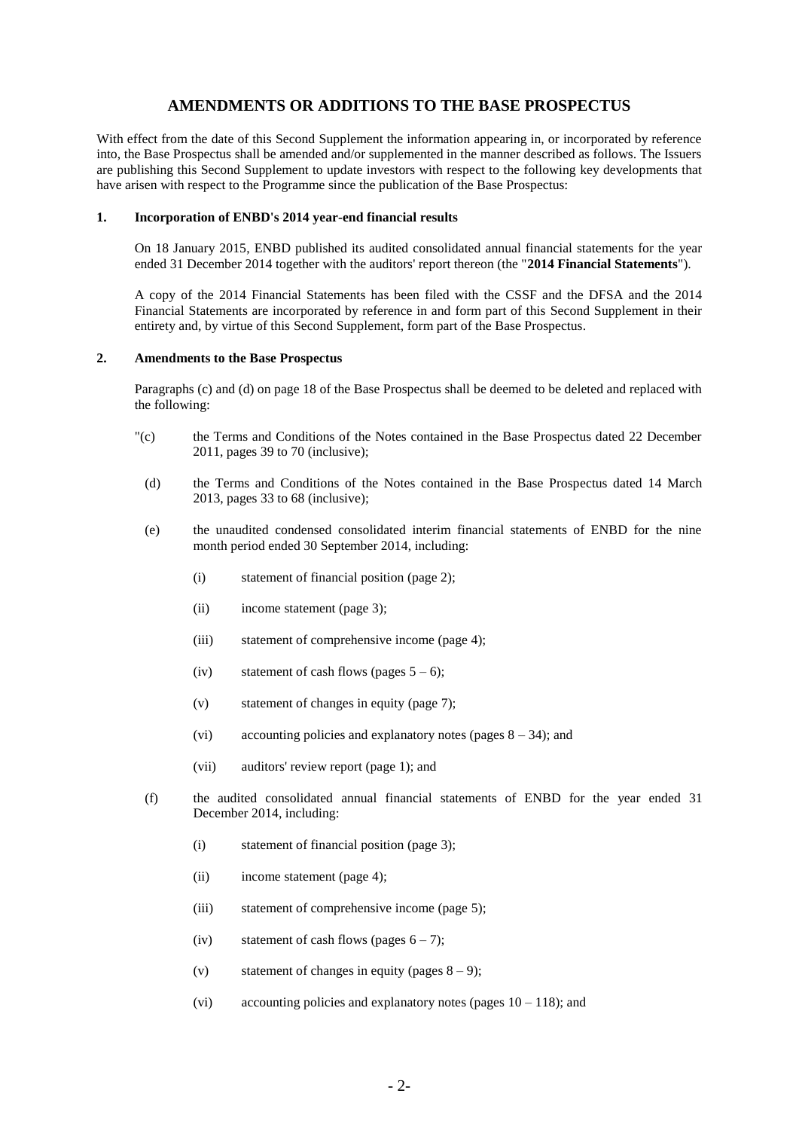# **AMENDMENTS OR ADDITIONS TO THE BASE PROSPECTUS**

With effect from the date of this Second Supplement the information appearing in, or incorporated by reference into, the Base Prospectus shall be amended and/or supplemented in the manner described as follows. The Issuers are publishing this Second Supplement to update investors with respect to the following key developments that have arisen with respect to the Programme since the publication of the Base Prospectus:

#### **1. Incorporation of ENBD's 2014 year-end financial results**

On 18 January 2015, ENBD published its audited consolidated annual financial statements for the year ended 31 December 2014 together with the auditors' report thereon (the "**2014 Financial Statements**").

A copy of the 2014 Financial Statements has been filed with the CSSF and the DFSA and the 2014 Financial Statements are incorporated by reference in and form part of this Second Supplement in their entirety and, by virtue of this Second Supplement, form part of the Base Prospectus.

#### **2. Amendments to the Base Prospectus**

Paragraphs (c) and (d) on page 18 of the Base Prospectus shall be deemed to be deleted and replaced with the following:

- "(c) the Terms and Conditions of the Notes contained in the Base Prospectus dated 22 December 2011, pages 39 to 70 (inclusive);
- (d) the Terms and Conditions of the Notes contained in the Base Prospectus dated 14 March 2013, pages 33 to 68 (inclusive);
- (e) the unaudited condensed consolidated interim financial statements of ENBD for the nine month period ended 30 September 2014, including:
	- (i) statement of financial position (page 2);
	- (ii) income statement (page 3);
	- (iii) statement of comprehensive income (page 4);
	- (iv) statement of cash flows (pages  $5 6$ );
	- (v) statement of changes in equity (page 7);
	- (vi) accounting policies and explanatory notes (pages  $8 34$ ); and
	- (vii) auditors' review report (page 1); and
- (f) the audited consolidated annual financial statements of ENBD for the year ended 31 December 2014, including:
	- (i) statement of financial position (page 3);
	- (ii) income statement (page 4);
	- (iii) statement of comprehensive income (page 5);
	- (iv) statement of cash flows (pages  $6 7$ );
	- (v) statement of changes in equity (pages  $8 9$ );
	- (vi) accounting policies and explanatory notes (pages  $10 118$ ); and